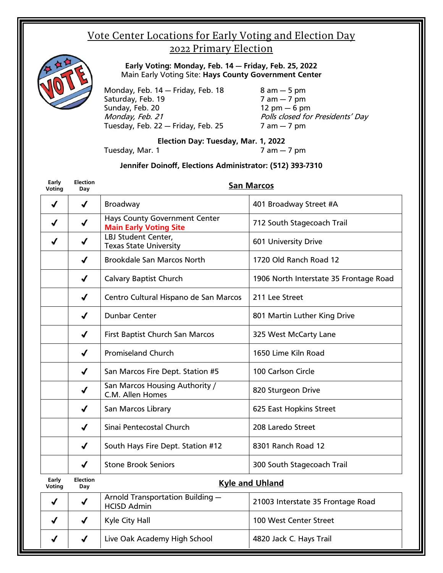## Vote Center Locations for Early Voting and Election Day 2022 Primary Election



**Early Voting: Monday, Feb. 14 — Friday, Feb. 25, 2022** Main Early Voting Site: **Hays County Government Center**

Monday, Feb. 14 — Friday, Feb. 18 8 am — 5 pm Saturday, Feb. 19 Sunday, Feb. 20 12 pm  $-6$  pm Monday, Feb. 21 **Polls closed for Presidents' Day** Tuesday, Feb. 22 – Friday, Feb. 25  $\overline{7}$  am – 7 pm

## **Election Day: Tuesday, Mar. 1, 2022**

Tuesday, Mar. 1 **7 am – 7 pm** 

## **Jennifer Doinoff, Elections Administrator: (512) 393-7310**

| Early<br>Voting | <b>Election</b><br>Day     |                                                                       | <b>San Marcos</b>                      |
|-----------------|----------------------------|-----------------------------------------------------------------------|----------------------------------------|
| $\checkmark$    | $\checkmark$               | <b>Broadway</b>                                                       | 401 Broadway Street #A                 |
| J               | $\checkmark$               | <b>Hays County Government Center</b><br><b>Main Early Voting Site</b> | 712 South Stagecoach Trail             |
| J               | $\checkmark$               | LBJ Student Center,<br><b>Texas State University</b>                  | <b>601 University Drive</b>            |
|                 | J                          | <b>Brookdale San Marcos North</b>                                     | 1720 Old Ranch Road 12                 |
|                 | $\checkmark$               | <b>Calvary Baptist Church</b>                                         | 1906 North Interstate 35 Frontage Road |
|                 | $\checkmark$               | Centro Cultural Hispano de San Marcos                                 | 211 Lee Street                         |
|                 | J                          | <b>Dunbar Center</b>                                                  | 801 Martin Luther King Drive           |
|                 | √                          | First Baptist Church San Marcos                                       | 325 West McCarty Lane                  |
|                 | $\boldsymbol{\mathcal{J}}$ | <b>Promiseland Church</b>                                             | 1650 Lime Kiln Road                    |
|                 | $\checkmark$               | San Marcos Fire Dept. Station #5                                      | 100 Carlson Circle                     |
|                 | J                          | San Marcos Housing Authority /<br>C.M. Allen Homes                    | 820 Sturgeon Drive                     |
|                 | J                          | San Marcos Library                                                    | 625 East Hopkins Street                |
|                 | $\boldsymbol{J}$           | Sinai Pentecostal Church                                              | 208 Laredo Street                      |
|                 | $\checkmark$               | South Hays Fire Dept. Station #12                                     | 8301 Ranch Road 12                     |
|                 | J                          | <b>Stone Brook Seniors</b>                                            | 300 South Stagecoach Trail             |
| Early<br>Voting | <b>Election</b><br>Day     |                                                                       | <b>Kyle and Uhland</b>                 |
| $\checkmark$    | J                          | Arnold Transportation Building -<br><b>HCISD Admin</b>                | 21003 Interstate 35 Frontage Road      |
| J               | $\checkmark$               | Kyle City Hall                                                        | 100 West Center Street                 |
| J               | √                          | Live Oak Academy High School                                          | 4820 Jack C. Hays Trail                |